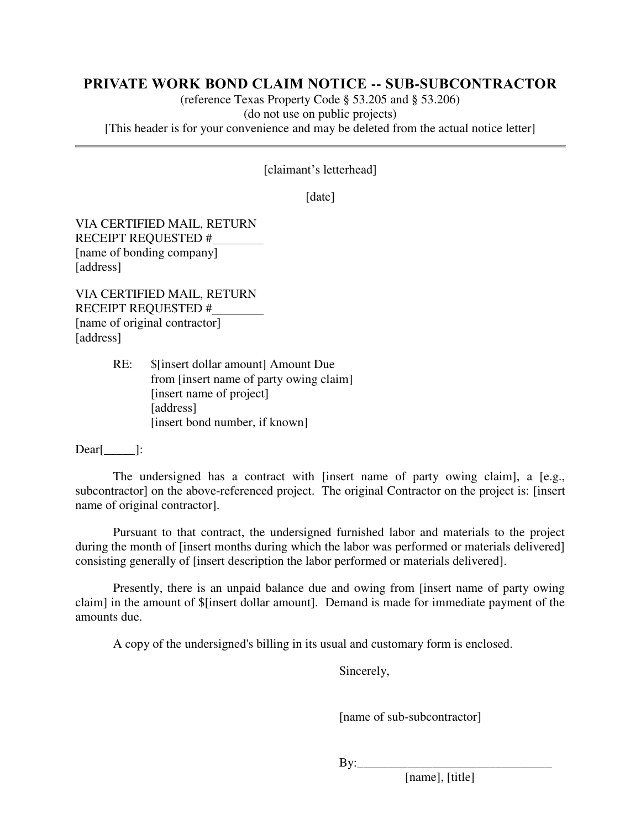## **PRIVATE WORK BOND CLAIM NOTICE -- SUB-SUBCONTRACTOR**

(reference Texas Property Code § 53.205 and § 53.206) (do not use on public projects) [This header is for your convenience and may be deleted from the actual notice letter]

[claimant's letterhead]

[date]

VIA CERTIFIED MAIL, RETURN RECEIPT REQUESTED # [name of bonding company] [address]

VIA CERTIFIED MAIL, RETURN RECEIPT REQUESTED # [name of original contractor] [address]

> RE: \$[insert dollar amount] Amount Due from [insert name of party owing claim] [insert name of project] [address] [insert bond number, if known]

Dear[\_\_\_\_\_]:

The undersigned has a contract with [insert name of party owing claim], a [e.g., subcontractor] on the above-referenced project. The original Contractor on the project is: [insert name of original contractor].

Pursuant to that contract, the undersigned furnished labor and materials to the project during the month of [insert months during which the labor was performed or materials delivered] consisting generally of [insert description the labor performed or materials delivered].

Presently, there is an unpaid balance due and owing from [insert name of party owing claim] in the amount of \$[insert dollar amount]. Demand is made for immediate payment of the amounts due.

A copy of the undersigned's billing in its usual and customary form is enclosed.

Sincerely,

[name of sub-subcontractor]

 $\mathbf{By:}$ 

[name], [title]